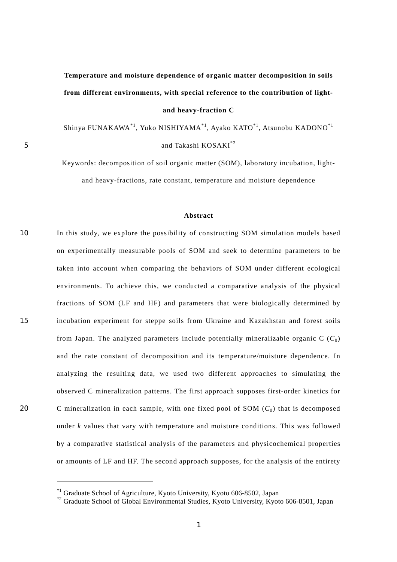## **Temperature and moisture dependence of organic matter decomposition in soils from different environments, with special reference to the contribution of lightand heavy-fraction C**

Shinya FUNAKAWA[\\*1,](#page-0-0) Yuko NISHIYAMA\*1, Ayako KATO\*1, Atsunobu KADONO\*1 5 and Takashi KOSAKI<sup>[\\*2](#page-0-1)</sup>

> Keywords: decomposition of soil organic matter (SOM), laboratory incubation, lightand heavy-fractions, rate constant, temperature and moisture dependence

## **Abstract**

10 15 20 In this study, we explore the possibility of constructing SOM simulation models based on experimentally measurable pools of SOM and seek to determine parameters to be taken into account when comparing the behaviors of SOM under different ecological environments. To achieve this, we conducted a comparative analysis of the physical fractions of SOM (LF and HF) and parameters that were biologically determined by incubation experiment for steppe soils from Ukraine and Kazakhstan and forest soils from Japan. The analyzed parameters include potentially mineralizable organic  $C(C_0)$ and the rate constant of decomposition and its temperature/moisture dependence. In analyzing the resulting data, we used two different approaches to simulating the observed C mineralization patterns. The first approach supposes first-order kinetics for C mineralization in each sample, with one fixed pool of SOM  $(C_0)$  that is decomposed under *k* values that vary with temperature and moisture conditions. This was followed by a comparative statistical analysis of the parameters and physicochemical properties or amounts of LF and HF. The second approach supposes, for the analysis of the entirety

 $\overline{a}$ 

<span id="page-0-0"></span><sup>\*1</sup> Graduate School of Agriculture, Kyoto University, Kyoto 606-8502, Japan

<span id="page-0-1"></span><sup>\*2</sup> Graduate School of Global Environmental Studies, Kyoto University, Kyoto 606-8501, Japan